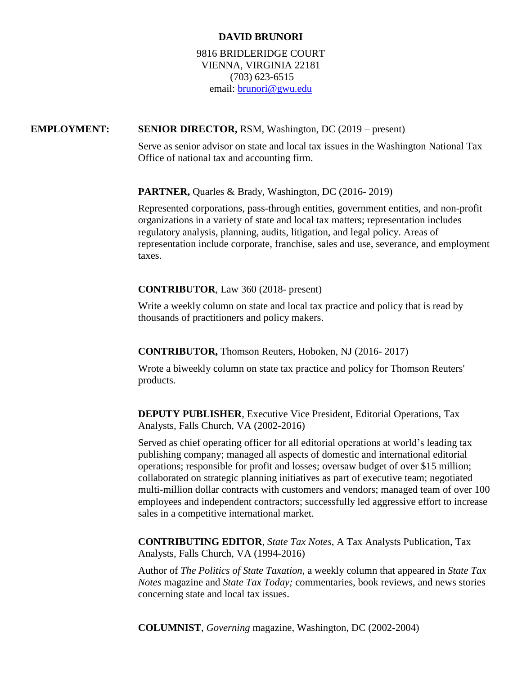## **DAVID BRUNORI**

9816 BRIDLERIDGE COURT VIENNA, VIRGINIA 22181 (703) 623-6515 email: [brunori@gwu.edu](mailto:brunori@gwu.edu)

## **EMPLOYMENT: SENIOR DIRECTOR,** RSM, Washington, DC (2019 – present)

Serve as senior advisor on state and local tax issues in the Washington National Tax Office of national tax and accounting firm.

## **PARTNER,** Quarles & Brady, Washington, DC (2016- 2019)

Represented corporations, pass-through entities, government entities, and non-profit organizations in a variety of state and local tax matters; representation includes regulatory analysis, planning, audits, litigation, and legal policy. Areas of representation include corporate, franchise, sales and use, severance, and employment taxes.

## **CONTRIBUTOR**, Law 360 (2018- present)

Write a weekly column on state and local tax practice and policy that is read by thousands of practitioners and policy makers.

**CONTRIBUTOR,** Thomson Reuters, Hoboken, NJ (2016- 2017)

Wrote a biweekly column on state tax practice and policy for Thomson Reuters' products.

**DEPUTY PUBLISHER**, Executive Vice President, Editorial Operations, Tax Analysts, Falls Church, VA (2002-2016)

Served as chief operating officer for all editorial operations at world's leading tax publishing company; managed all aspects of domestic and international editorial operations; responsible for profit and losses; oversaw budget of over \$15 million; collaborated on strategic planning initiatives as part of executive team; negotiated multi-million dollar contracts with customers and vendors; managed team of over 100 employees and independent contractors; successfully led aggressive effort to increase sales in a competitive international market.

**CONTRIBUTING EDITOR**, *State Tax Notes*, A Tax Analysts Publication, Tax Analysts, Falls Church, VA (1994-2016)

Author of *The Politics of State Taxation*, a weekly column that appeared in *State Tax Notes* magazine and *State Tax Today;* commentaries, book reviews, and news stories concerning state and local tax issues.

**COLUMNIST**, *Governing* magazine, Washington, DC (2002-2004)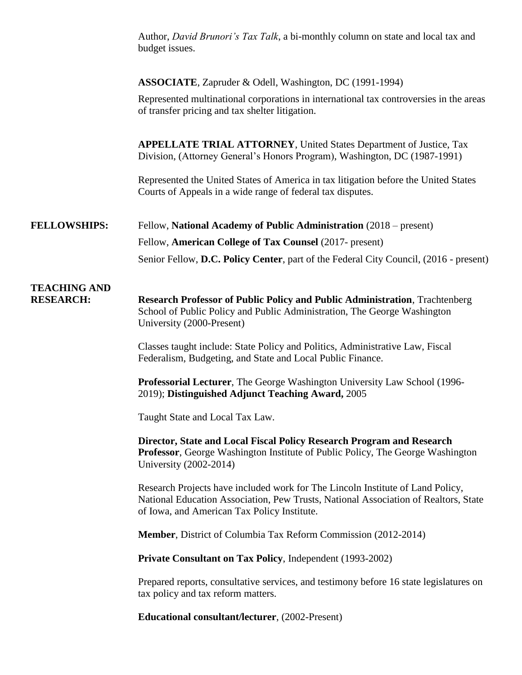|                                         | Author, David Brunori's Tax Talk, a bi-monthly column on state and local tax and<br>budget issues.                                                                                                                   |
|-----------------------------------------|----------------------------------------------------------------------------------------------------------------------------------------------------------------------------------------------------------------------|
|                                         | <b>ASSOCIATE</b> , Zapruder & Odell, Washington, DC (1991-1994)                                                                                                                                                      |
|                                         | Represented multinational corporations in international tax controversies in the areas<br>of transfer pricing and tax shelter litigation.                                                                            |
|                                         | <b>APPELLATE TRIAL ATTORNEY, United States Department of Justice, Tax</b><br>Division, (Attorney General's Honors Program), Washington, DC (1987-1991)                                                               |
|                                         | Represented the United States of America in tax litigation before the United States<br>Courts of Appeals in a wide range of federal tax disputes.                                                                    |
| <b>FELLOWSHIPS:</b>                     | Fellow, National Academy of Public Administration (2018 – present)                                                                                                                                                   |
|                                         | Fellow, American College of Tax Counsel (2017- present)                                                                                                                                                              |
|                                         | Senior Fellow, D.C. Policy Center, part of the Federal City Council, (2016 - present)                                                                                                                                |
| <b>TEACHING AND</b><br><b>RESEARCH:</b> | Research Professor of Public Policy and Public Administration, Trachtenberg<br>School of Public Policy and Public Administration, The George Washington<br>University (2000-Present)                                 |
|                                         | Classes taught include: State Policy and Politics, Administrative Law, Fiscal<br>Federalism, Budgeting, and State and Local Public Finance.                                                                          |
|                                         | <b>Professorial Lecturer</b> , The George Washington University Law School (1996-<br>2019); Distinguished Adjunct Teaching Award, 2005                                                                               |
|                                         | Taught State and Local Tax Law.                                                                                                                                                                                      |
|                                         | Director, State and Local Fiscal Policy Research Program and Research<br>Professor, George Washington Institute of Public Policy, The George Washington<br>University (2002-2014)                                    |
|                                         | Research Projects have included work for The Lincoln Institute of Land Policy,<br>National Education Association, Pew Trusts, National Association of Realtors, State<br>of Iowa, and American Tax Policy Institute. |
|                                         | Member, District of Columbia Tax Reform Commission (2012-2014)                                                                                                                                                       |
|                                         | Private Consultant on Tax Policy, Independent (1993-2002)                                                                                                                                                            |
|                                         | Prepared reports, consultative services, and testimony before 16 state legislatures on<br>tax policy and tax reform matters.                                                                                         |
|                                         | <b>Educational consultant/lecturer, (2002-Present)</b>                                                                                                                                                               |
|                                         |                                                                                                                                                                                                                      |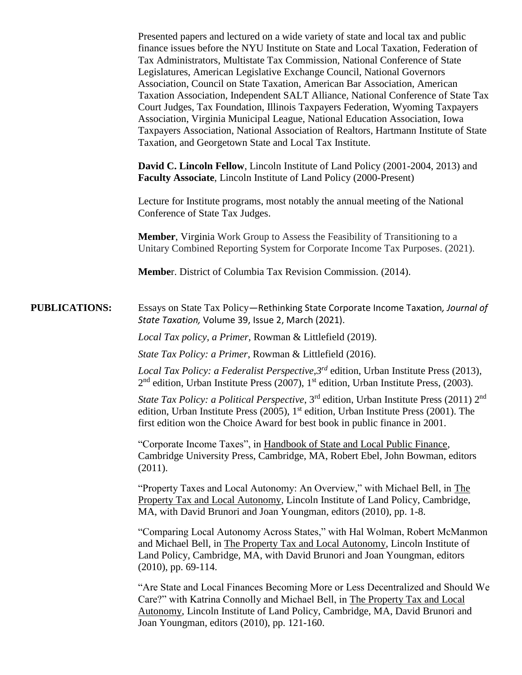|                      | Presented papers and lectured on a wide variety of state and local tax and public<br>finance issues before the NYU Institute on State and Local Taxation, Federation of<br>Tax Administrators, Multistate Tax Commission, National Conference of State<br>Legislatures, American Legislative Exchange Council, National Governors                                                                                                                                                    |
|----------------------|--------------------------------------------------------------------------------------------------------------------------------------------------------------------------------------------------------------------------------------------------------------------------------------------------------------------------------------------------------------------------------------------------------------------------------------------------------------------------------------|
|                      | Association, Council on State Taxation, American Bar Association, American<br>Taxation Association, Independent SALT Alliance, National Conference of State Tax<br>Court Judges, Tax Foundation, Illinois Taxpayers Federation, Wyoming Taxpayers<br>Association, Virginia Municipal League, National Education Association, Iowa<br>Taxpayers Association, National Association of Realtors, Hartmann Institute of State<br>Taxation, and Georgetown State and Local Tax Institute. |
|                      | <b>David C. Lincoln Fellow</b> , Lincoln Institute of Land Policy (2001-2004, 2013) and<br><b>Faculty Associate</b> , Lincoln Institute of Land Policy (2000-Present)                                                                                                                                                                                                                                                                                                                |
|                      | Lecture for Institute programs, most notably the annual meeting of the National<br>Conference of State Tax Judges.                                                                                                                                                                                                                                                                                                                                                                   |
|                      | <b>Member,</b> Virginia Work Group to Assess the Feasibility of Transitioning to a<br>Unitary Combined Reporting System for Corporate Income Tax Purposes. (2021).                                                                                                                                                                                                                                                                                                                   |
|                      | Member. District of Columbia Tax Revision Commission. (2014).                                                                                                                                                                                                                                                                                                                                                                                                                        |
| <b>PUBLICATIONS:</b> | Essays on State Tax Policy-Rethinking State Corporate Income Taxation, Journal of<br>State Taxation, Volume 39, Issue 2, March (2021).                                                                                                                                                                                                                                                                                                                                               |
|                      | Local Tax policy, a Primer, Rowman & Littlefield (2019).                                                                                                                                                                                                                                                                                                                                                                                                                             |
|                      | State Tax Policy: a Primer, Rowman & Littlefield (2016).                                                                                                                                                                                                                                                                                                                                                                                                                             |
|                      | Local Tax Policy: a Federalist Perspective, 3rd edition, Urban Institute Press (2013),<br>$2nd$ edition, Urban Institute Press (2007), 1 <sup>st</sup> edition, Urban Institute Press, (2003).                                                                                                                                                                                                                                                                                       |
|                      | <i>State Tax Policy: a Political Perspective,</i> 3 <sup>rd</sup> edition, Urban Institute Press (2011) 2 <sup>nd</sup><br>edition, Urban Institute Press (2005), $1st$ edition, Urban Institute Press (2001). The<br>first edition won the Choice Award for best book in public finance in 2001.                                                                                                                                                                                    |
|                      | "Corporate Income Taxes", in Handbook of State and Local Public Finance,<br>Cambridge University Press, Cambridge, MA, Robert Ebel, John Bowman, editors<br>(2011).                                                                                                                                                                                                                                                                                                                  |
|                      | "Property Taxes and Local Autonomy: An Overview," with Michael Bell, in The<br>Property Tax and Local Autonomy, Lincoln Institute of Land Policy, Cambridge,<br>MA, with David Brunori and Joan Youngman, editors (2010), pp. 1-8.                                                                                                                                                                                                                                                   |
|                      | "Comparing Local Autonomy Across States," with Hal Wolman, Robert McManmon<br>and Michael Bell, in The Property Tax and Local Autonomy, Lincoln Institute of<br>Land Policy, Cambridge, MA, with David Brunori and Joan Youngman, editors<br>$(2010)$ , pp. 69-114.                                                                                                                                                                                                                  |
|                      | "Are State and Local Finances Becoming More or Less Decentralized and Should We<br>Care?" with Katrina Connolly and Michael Bell, in The Property Tax and Local<br>Autonomy, Lincoln Institute of Land Policy, Cambridge, MA, David Brunori and<br>Joan Youngman, editors (2010), pp. 121-160.                                                                                                                                                                                       |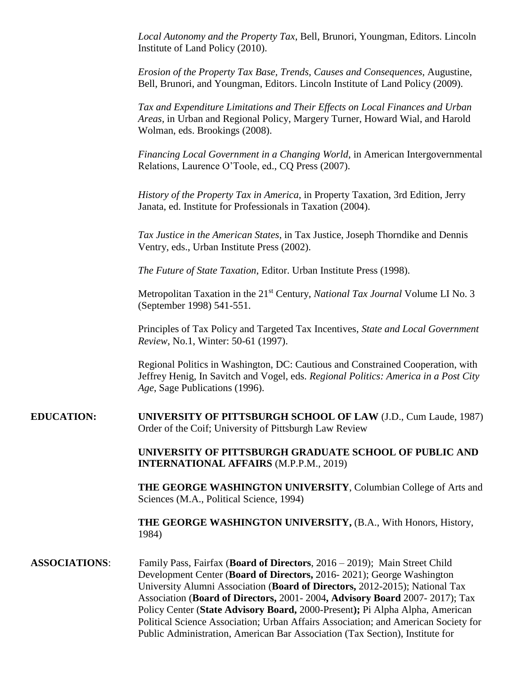*Local Autonomy and the Property Tax*, Bell, Brunori, Youngman, Editors. Lincoln Institute of Land Policy (2010).

*Erosion of the Property Tax Base, Trends, Causes and Consequences,* Augustine, Bell, Brunori, and Youngman, Editors. Lincoln Institute of Land Policy (2009).

*Tax and Expenditure Limitations and Their Effects on Local Finances and Urban Areas,* in Urban and Regional Policy, Margery Turner, Howard Wial, and Harold Wolman, eds. Brookings (2008).

*Financing Local Government in a Changing World*, in American Intergovernmental Relations, Laurence O'Toole, ed., CQ Press (2007).

*History of the Property Tax in America*, in Property Taxation, 3rd Edition, Jerry Janata, ed. Institute for Professionals in Taxation (2004).

*Tax Justice in the American States*, in Tax Justice, Joseph Thorndike and Dennis Ventry, eds., Urban Institute Press (2002).

*The Future of State Taxation*, Editor. Urban Institute Press (1998).

Metropolitan Taxation in the 21st Century, *National Tax Journal* Volume LI No. 3 (September 1998) 541-551.

 Principles of Tax Policy and Targeted Tax Incentives, *State and Local Government Review*, No.1, Winter: 50-61 (1997).

Regional Politics in Washington, DC: Cautious and Constrained Cooperation, with Jeffrey Henig, In Savitch and Vogel, eds. *Regional Politics: America in a Post City Age*, Sage Publications (1996).

**EDUCATION: UNIVERSITY OF PITTSBURGH SCHOOL OF LAW** (J.D., Cum Laude, 1987) Order of the Coif; University of Pittsburgh Law Review

> **UNIVERSITY OF PITTSBURGH GRADUATE SCHOOL OF PUBLIC AND INTERNATIONAL AFFAIRS** (M.P.P.M., 2019)

**THE GEORGE WASHINGTON UNIVERSITY**, Columbian College of Arts and Sciences (M.A., Political Science, 1994)

**THE GEORGE WASHINGTON UNIVERSITY,** (B.A., With Honors, History, 1984)

**ASSOCIATIONS**: Family Pass, Fairfax (**Board of Directors**, 2016 – 2019); Main Street Child Development Center (**Board of Directors,** 2016- 2021); George Washington University Alumni Association (**Board of Directors,** 2012-2015); National Tax Association (**Board of Directors,** 2001- 2004**, Advisory Board** 2007- 2017); Tax Policy Center (**State Advisory Board,** 2000-Present**);** Pi Alpha Alpha, American Political Science Association; Urban Affairs Association; and American Society for Public Administration, American Bar Association (Tax Section), Institute for